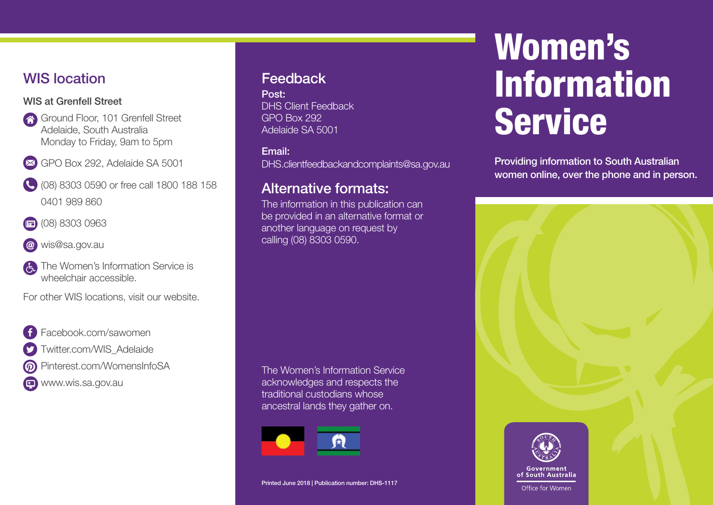# WIS location

### WIS at Grenfell Street

Ground Floor, 101 Grenfell Street Adelaide, South Australia Monday to Friday, 9am to 5pm



- (08) 8303 0590 or free call 1800 188 158 0401 989 860
- (08) 8303 0963
- wis@sa.gov.au
- The Women's Information Service is wheelchair accessible.

For other WIS locations, visit our website.



- Twitter.com/WIS\_Adelaide
- Pinterest.com/WomensInfoSA
- www.wis.sa.gov.au

# Feedback

Post: DHS Client Feedback GPO Box 292 Adelaide SA 5001

Email:

DHS.clientfeedbackandcomplaints@sa.gov.au

# Alternative formats:

The information in this publication can be provided in an alternative format or another language on request by calling (08) 8303 0590.

The Women's Information Service acknowledges and respects the traditional custodians whose ancestral lands they gather on.



Printed June 2018 | Publication number: DHS-1117

# Women's Information Service

Providing information to South Australian women online, over the phone and in person.





Office for Women